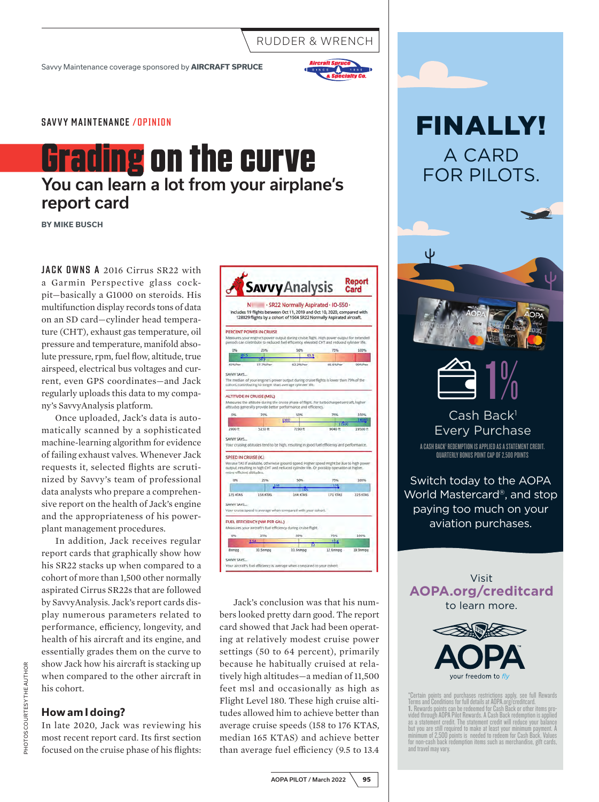### RUDDER & WRENCH

Savvy Maintenance coverage sponsored by **AIRCRAFT SPRUCE**



#### SAVVY MAINTENANCE /OPINION

# **Grading on the curve** You can learn a lot from your airplane's report card

**BY MIKE BUSCH**

JACK OWNS A 2016 Cirrus SR22 with a Garmin Perspective glass cockpit—basically a G1000 on steroids. His multifunction display records tons of data on an SD card—cylinder head temperature (CHT), exhaust gas temperature, oil pressure and temperature, manifold absolute pressure, rpm, fuel flow, altitude, true airspeed, electrical bus voltages and current, even GPS coordinates—and Jack regularly uploads this data to my company's SavvyAnalysis platform.

Once uploaded, Jack's data is automatically scanned by a sophisticated machine-learning algorithm for evidence of failing exhaust valves. Whenever Jack requests it, selected flights are scrutinized by Savvy's team of professional data analysts who prepare a comprehensive report on the health of Jack's engine and the appropriateness of his powerplant management procedures.

In addition, Jack receives regular report cards that graphically show how his SR22 stacks up when compared to a cohort of more than 1,500 other normally aspirated Cirrus SR22s that are followed by SavvyAnalysis. Jack's report cards display numerous parameters related to performance, efficiency, longevity, and health of his aircraft and its engine, and essentially grades them on the curve to show Jack how his aircraft is stacking up when compared to the other aircraft in his cohort.

#### **How am I doing?**

In late 2020, Jack was reviewing his most recent report card. Its first section focused on the cruise phase of his flights:

|                                                                               |                                                            |                                                                                                                                                                                       | <b>SAVVy Analysis</b> |          |
|-------------------------------------------------------------------------------|------------------------------------------------------------|---------------------------------------------------------------------------------------------------------------------------------------------------------------------------------------|-----------------------|----------|
|                                                                               | NI                                                         | · SR22 Normally Aspirated · IO-550 ·                                                                                                                                                  |                       |          |
|                                                                               |                                                            | Includes 19 flights between Oct 11, 2019 and Oct 10, 2020, compared with<br>128829 flights by a cohort of 1504 SR22 Normally Aspirated aircraft.                                      |                       |          |
|                                                                               |                                                            |                                                                                                                                                                                       |                       |          |
|                                                                               | PERCENT POWER IN CRUISE                                    |                                                                                                                                                                                       |                       |          |
|                                                                               |                                                            | Measures your engine's power output during cruise fight. High power output for extended<br>periods can contribute to reduced fuel efficiency, elevated CHT and reduced cylinder life. |                       |          |
| 0%                                                                            | 25%                                                        | 50%                                                                                                                                                                                   | 75%                   | 100%     |
| 49.5                                                                          | bC)                                                        | 63.9                                                                                                                                                                                  |                       |          |
| <b>45%Pwr</b>                                                                 | 57.7%Pwr                                                   | 62.2%Pwt                                                                                                                                                                              | <b>66 6%Part</b>      | GONLPWE  |
|                                                                               |                                                            |                                                                                                                                                                                       |                       |          |
| SAVVY SAYS                                                                    |                                                            | The median of your ensune's power output during cruise flights is lower than 79% of the                                                                                               |                       |          |
|                                                                               | cohort, contributing to longer than average cylinder life. |                                                                                                                                                                                       |                       |          |
|                                                                               |                                                            |                                                                                                                                                                                       |                       |          |
|                                                                               | ALTITUDE IN CRUISE (MSL)                                   |                                                                                                                                                                                       |                       |          |
|                                                                               |                                                            | Measures the altitude during the cruise phase of flight. For turbocharged aircraft, higher<br>altitudes generally provide better performance and efficiency.                          |                       |          |
| DN.                                                                           | 25%                                                        | 50%                                                                                                                                                                                   | 75%                   | 100%     |
|                                                                               |                                                            |                                                                                                                                                                                       |                       |          |
|                                                                               |                                                            | 6300                                                                                                                                                                                  |                       |          |
| 2000 ft                                                                       | 5230 ft                                                    | 7190 ft                                                                                                                                                                               | 9040 ft               | 19500 ft |
|                                                                               |                                                            |                                                                                                                                                                                       |                       |          |
|                                                                               |                                                            |                                                                                                                                                                                       |                       |          |
|                                                                               |                                                            | Your cruising altitudes tend to be high; resulting in good fuel efficiency and performance.                                                                                           |                       |          |
|                                                                               |                                                            |                                                                                                                                                                                       |                       |          |
|                                                                               |                                                            | We use TAS if available, otherwise ground speed. Higher speed might be due to high power                                                                                              |                       |          |
|                                                                               |                                                            | output, resulting in high CHT and reduced cylinder life. Or possibly operation at higher.                                                                                             |                       |          |
|                                                                               |                                                            |                                                                                                                                                                                       |                       |          |
| D%                                                                            | 25%                                                        | sosi                                                                                                                                                                                  | 75%                   | 100%     |
|                                                                               |                                                            | Ŧб                                                                                                                                                                                    | 176                   |          |
| 125 KTAS                                                                      | <b>156 KTAS</b>                                            | <b>164 KTAS</b>                                                                                                                                                                       | 171 KTAS              | 225 KTAS |
|                                                                               |                                                            |                                                                                                                                                                                       |                       |          |
|                                                                               |                                                            | Your cruise speed is average when compared with your cohort.                                                                                                                          |                       |          |
|                                                                               |                                                            |                                                                                                                                                                                       |                       |          |
|                                                                               | FUEL EFFICIENCY (NM PER GAL.)                              |                                                                                                                                                                                       |                       |          |
|                                                                               |                                                            | Measures your aircraft's fuel efficiency during cruise flight.                                                                                                                        |                       |          |
| ON                                                                            | 25%                                                        | 50%                                                                                                                                                                                   | 75%                   | 100%     |
| SAVVY SAYS<br>SPEED IN CRUISE (K.)<br>more efficient altitudes.<br>SAVVY SAYS |                                                            | D                                                                                                                                                                                     | 13.4                  |          |

Jack's conclusion was that his numbers looked pretty darn good. The report card showed that Jack had been operating at relatively modest cruise power settings (50 to 64 percent), primarily because he habitually cruised at relatively high altitudes—a median of 11,500 feet msl and occasionally as high as Flight Level 180. These high cruise altitudes allowed him to achieve better than average cruise speeds (158 to 176 KTAS, median 165 KTAS) and achieve better than average fuel efficiency (9.5 to 13.4







Cash Back<sup>1</sup> Every Purchase A CASH BACK<sup>i</sup> redemption is applied as a statement credit. QUARTERLY BONUS POINT CAP OF 2,500 POINTS

Switch today to the AOPA World Mastercard®, and stop paying too much on your aviation purchases.

Visit **AOPA.org/creditcard** to learn more.



\*Certain points and purchases restrictions apply, see full Rewards Terms and Conditions for full details at AOPA.org/creditcard. 1. Rewards points can be redeemed for Cash Back or other items provided through AOPA Pilot Rewards. A Cash Back redemption is applied as a statement credit. The statement credit will reduce your balance but you are still required to make at least your minimum payment. A minimum of 2,500 points is needed to redeem for Cash Back. Values for non-cash back redemption items such as merchandise, gift cards, and travel may vary.

PHOTOS COURTESY THE AUTHOR PHOTOS COURTESY THE AUTHOR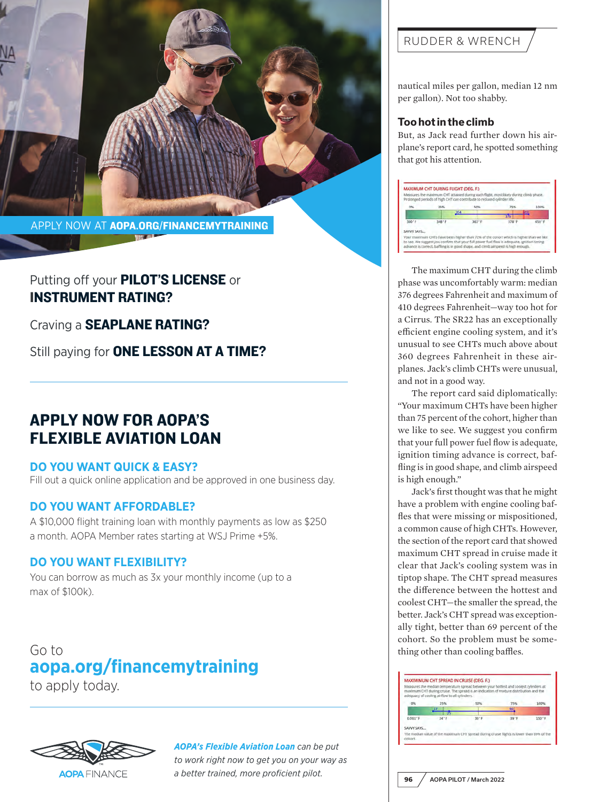

## Putting off your **PILOT'S LICENSE** or INSTRUMENT RATING?

Craving a **SEAPLANE RATING?** 

Still paying for **ONE LESSON AT A TIME?** 

## APPLY NOW FOR AOPA'S FLEXIBLE AVIATION LOAN

## **DO YOU WANT QUICK & EASY?**

Fill out a quick online application and be approved in one business day.

## **DO YOU WANT AFFORDABLE?**

A \$10,000 flight training loan with monthly payments as low as \$250 a month. AOPA Member rates starting at WSJ Prime +5%.

## **DO YOU WANT FLEXIBILITY?**

You can borrow as much as 3x your monthly income (up to a max of \$100k).

## Go to **aopa.org/financemytraining**

to apply today.



*AOPA's Flexible Aviation Loan can be put to work right now to get you on your way as a better trained, more proficient pilot.*

## RUDDER & WRENCH

nautical miles per gallon, median 12 nm per gallon). Not too shabby.

#### **Too hot in the climb**

But, as Jack read further down his airplane's report card, he spotted something that got his attention.

| 0%     | 25%   | 50%    | 75%               | 100%  |
|--------|-------|--------|-------------------|-------|
|        |       |        |                   |       |
|        | 348°F |        | 3761<br>$378 - F$ | 45014 |
| 300 °F |       | 363' F |                   |       |

The maximum CHT during the climb phase was uncomfortably warm: median 376 degrees Fahrenheit and maximum of 410 degrees Fahrenheit—way too hot for a Cirrus. The SR22 has an exceptionally efficient engine cooling system, and it's unusual to see CHTs much above about 360 degrees Fahrenheit in these airplanes. Jack's climb CHTs were unusual, and not in a good way.

The report card said diplomatically: "Your maximum CHTs have been higher than 75 percent of the cohort, higher than we like to see. We suggest you confirm that your full power fuel flow is adequate, ignition timing advance is correct, baffling is in good shape, and climb airspeed is high enough."

Jack's first thought was that he might have a problem with engine cooling baffles that were missing or mispositioned, a common cause of high CHTs. However, the section of the report card that showed maximum CHT spread in cruise made it clear that Jack's cooling system was in tiptop shape. The CHT spread measures the difference between the hottest and coolest CHT—the smaller the spread, the better. Jack's CHT spread was exceptionally tight, better than 69 percent of the cohort. So the problem must be something other than cooling baffles.

|            | adequacy of cooling airflow to all cylinders. | Measures the median temperature spread between your hottest and coolest cylinders at<br>maximum CHT during cruise. The spread is an indication of moture distribution and the |          |               |
|------------|-----------------------------------------------|-------------------------------------------------------------------------------------------------------------------------------------------------------------------------------|----------|---------------|
| 0%         | 25%                                           |                                                                                                                                                                               | 75%      | 3.00%         |
|            | -17<br>25                                     |                                                                                                                                                                               | 40       |               |
| $0.001'$ F | 24.5                                          | $30 - F$                                                                                                                                                                      | $39 - F$ | $150^\circ$ F |
| SAWY SAYS  |                                               |                                                                                                                                                                               |          |               |
| cohort.    |                                               | The median value of the maximum CHT spread during cruise flights is lower than 69% of the                                                                                     |          |               |

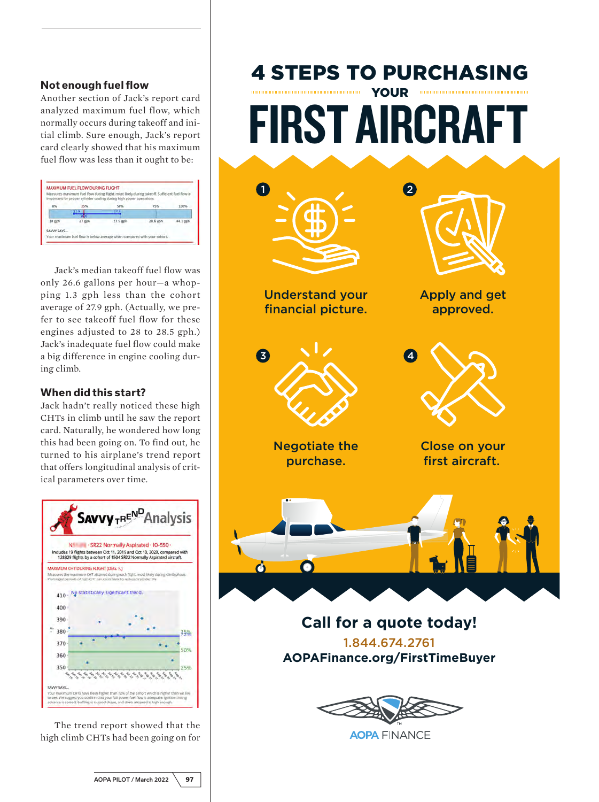#### **Not enough fuel flow**

Another section of Jack's report card analyzed maximum fuel flow, which normally occurs during takeoff and initial climb. Sure enough, Jack's report card clearly showed that his maximum fuel flow was less than it ought to be:



Jack's median takeoff fuel flow was only 26.6 gallons per hour—a whopping 1.3 gph less than the cohort average of 27.9 gph. (Actually, we prefer to see takeoff fuel flow for these engines adjusted to 28 to 28.5 gph.) Jack's inadequate fuel flow could make a big difference in engine cooling during climb.

#### **When did this start?**

Jack hadn't really noticed these high CHTs in climb until he saw the report card. Naturally, he wondered how long this had been going on. To find out, he turned to his airplane's trend report that offers longitudinal analysis of critical parameters over time.



The trend report showed that the high climb CHTs had been going on for